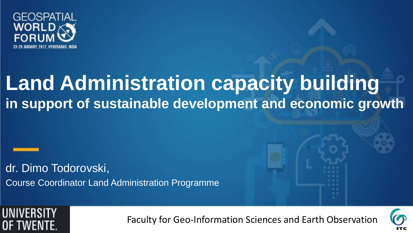

### **Land Administration capacity building in support of sustainable development and economic growth**

dr. Dimo Todorovski, Course Coordinator Land Administration Programme



Faculty for Geo-Information Sciences and Earth Observation



*slide*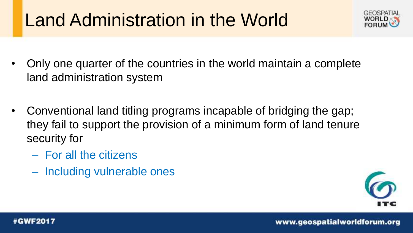### Land Administration in the World



- Only one quarter of the countries in the world maintain a complete land administration system
- Conventional land titling programs incapable of bridging the gap; they fail to support the provision of a minimum form of land tenure security for
	- For all the citizens
	- Including vulnerable ones

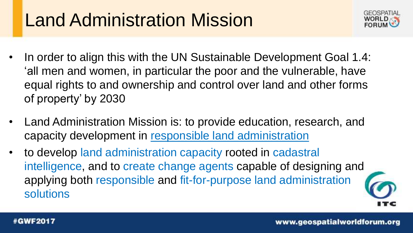### Land Administration Mission



- In order to align this with the UN Sustainable Development Goal 1.4: 'all men and women, in particular the poor and the vulnerable, have equal rights to and ownership and control over land and other forms of property' by 2030
- Land Administration Mission is: to provide education, research, and capacity development in responsible land administration
- to develop land administration capacity rooted in cadastral intelligence, and to create change agents capable of designing and applying both responsible and fit-for-purpose land administration solutions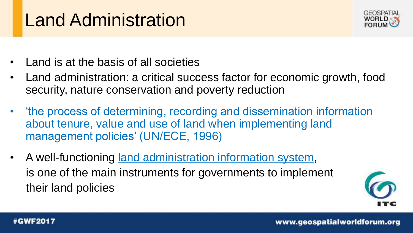### Land Administration



- Land is at the basis of all societies
- Land administration: a critical success factor for economic growth, food security, nature conservation and poverty reduction
- 'the process of determining, recording and dissemination information about tenure, value and use of land when implementing land management policies' (UN/ECE, 1996)
- A well-functioning land administration information system, is one of the main instruments for governments to implement their land policies

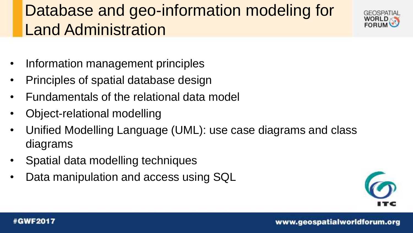### Database and geo-information modeling for Land Administration



- Information management principles
- Principles of spatial database design
- Fundamentals of the relational data model
- Object-relational modelling
- Unified Modelling Language (UML): use case diagrams and class diagrams
- Spatial data modelling techniques
- Data manipulation and access using SQL



#### **#GWF2017**

www.geospatialworldforum.org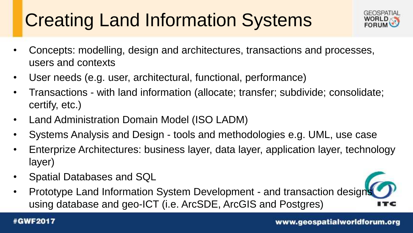# Creating Land Information Systems



*Add your* 

- Concepts: modelling, design and architectures, transactions and processes, users and contexts
- User needs (e.g. user, architectural, functional, performance)
- Transactions with land information (allocate; transfer; subdivide; consolidate; certify, etc.)
- Land Administration Domain Model (ISO LADM)
- Systems Analysis and Design tools and methodologies e.g. UML, use case
- Enterprize Architectures: business layer, data layer, application layer, technology layer)
- Spatial Databases and SQL
- *company logo*  • Prototype Land Information System Development - and transaction designs using database and geo-ICT (i.e. ArcSDE, ArcGIS and Postgres)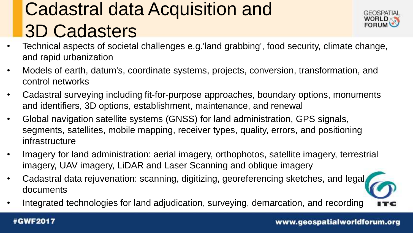# Cadastral data Acquisition and 3D Cadasters



- Technical aspects of societal challenges e.g.'land grabbing', food security, climate change, and rapid urbanization
- Models of earth, datum's, coordinate systems, projects, conversion, transformation, and control networks
- Cadastral surveying including fit-for-purpose approaches, boundary options, monuments and identifiers, 3D options, establishment, maintenance, and renewal
- Global navigation satellite systems (GNSS) for land administration, GPS signals, segments, satellites, mobile mapping, receiver types, quality, errors, and positioning infrastructure
- Imagery for land administration: aerial imagery, orthophotos, satellite imagery, terrestrial imagery, UAV imagery, LiDAR and Laser Scanning and oblique imagery
- Cadastral data rejuvenation: scanning, digitizing, georeferencing sketches, and legal documents
- Integrated technologies for land adjudication, surveying, demarcation, and recording

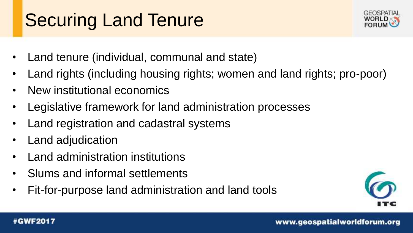## Securing Land Tenure



- Land tenure (individual, communal and state)
- Land rights (including housing rights; women and land rights; pro-poor)
- New institutional economics
- Legislative framework for land administration processes
- Land registration and cadastral systems
- Land adjudication
- Land administration institutions
- Slums and informal settlements
- Fit-for-purpose land administration and land tools



#### **#GWF2017**

www.geospatialworldforum.org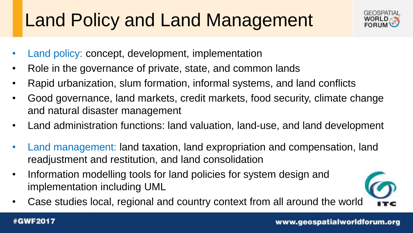# Land Policy and Land Management



- Land policy: concept, development, implementation
- Role in the governance of private, state, and common lands
- Rapid urbanization, slum formation, informal systems, and land conflicts
- Good governance, land markets, credit markets, food security, climate change and natural disaster management
- Land administration functions: land valuation, land-use, and land development
- Land management: land taxation, land expropriation and compensation, land readjustment and restitution, and land consolidation
- Information modelling tools for land policies for system design and implementation including UML
- Case studies local, regional and country context from all around the world



#### **#GWF2017**

www.geospatialworldforum.org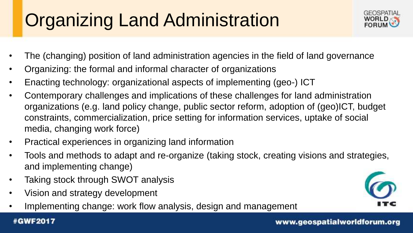# Organizing Land Administration



- The (changing) position of land administration agencies in the field of land governance
- Organizing: the formal and informal character of organizations
- Enacting technology: organizational aspects of implementing (geo-) ICT
- Contemporary challenges and implications of these challenges for land administration organizations (e.g. land policy change, public sector reform, adoption of (geo)ICT, budget constraints, commercialization, price setting for information services, uptake of social media, changing work force)
- Practical experiences in organizing land information
- Tools and methods to adapt and re-organize (taking stock, creating visions and strategies, and implementing change)
- Taking stock through SWOT analysis
- Vision and strategy development
- Implementing change: work flow analysis, design and management

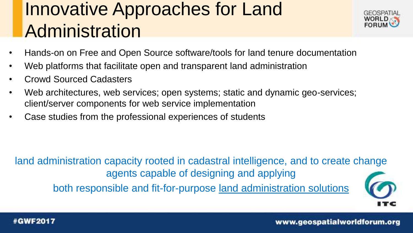### Innovative Approaches for Land **Administration**



- Hands-on on Free and Open Source software/tools for land tenure documentation
- Web platforms that facilitate open and transparent land administration
- Crowd Sourced Cadasters
- Web architectures, web services; open systems; static and dynamic geo-services; client/server components for web service implementation
- Case studies from the professional experiences of students

*Add your company logo here on master*  land administration capacity rooted in cadastral intelligence, and to create change agents capable of designing and applying both responsible and fit-for-purpose land administration solutions